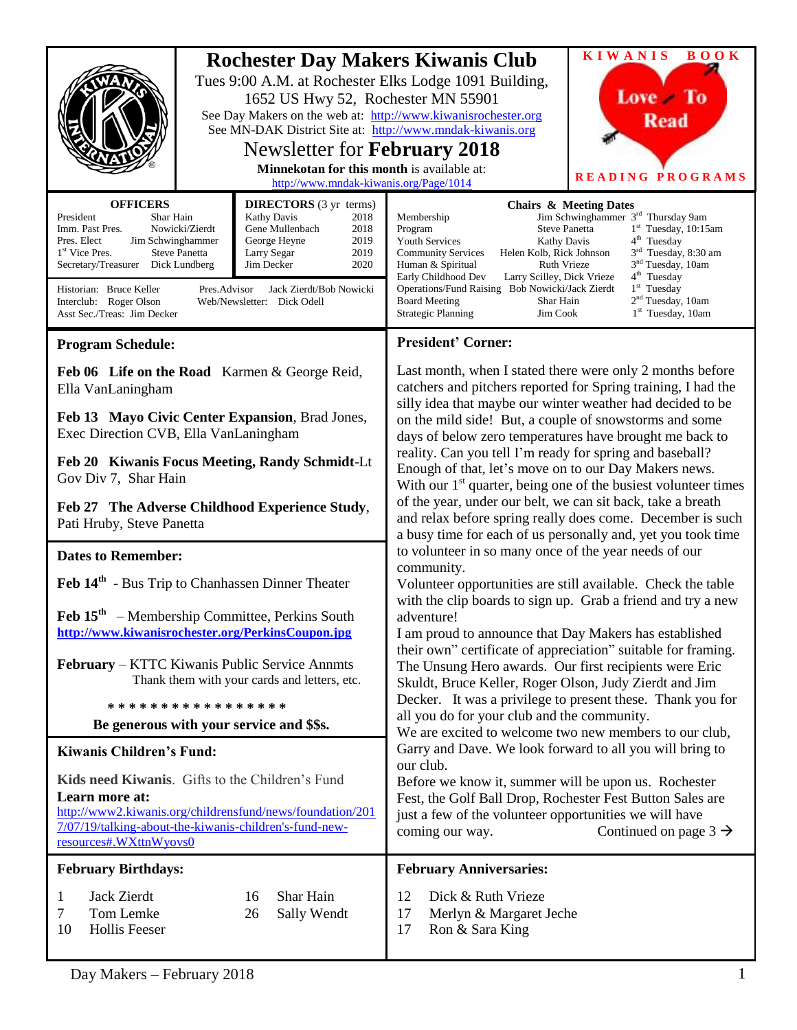|                                                                                                                                                                                                                                                                                                                                                                                                                                                                                                                                           |  | 1652 US Hwy 52, Rochester MN 55901<br>See MN-DAK District Site at: http://www.mndak-kiwanis.org<br><b>Newsletter for February 2018</b><br>Minnekotan for this month is available at:<br>http://www.mndak-kiwanis.org/Page/1014 | <b>Rochester Day Makers Kiwanis Club</b><br>Tues 9:00 A.M. at Rochester Elks Lodge 1091 Building,<br>See Day Makers on the web at: http://www.kiwanisrochester.org                                                                                                                                                                                                                                                                                                                                     | <b>KIWANIS</b><br><b>BOOK</b><br>Love To<br><b>Read</b><br>READING PROGRAMS                                                                                                                                                                                                                   |  |
|-------------------------------------------------------------------------------------------------------------------------------------------------------------------------------------------------------------------------------------------------------------------------------------------------------------------------------------------------------------------------------------------------------------------------------------------------------------------------------------------------------------------------------------------|--|--------------------------------------------------------------------------------------------------------------------------------------------------------------------------------------------------------------------------------|--------------------------------------------------------------------------------------------------------------------------------------------------------------------------------------------------------------------------------------------------------------------------------------------------------------------------------------------------------------------------------------------------------------------------------------------------------------------------------------------------------|-----------------------------------------------------------------------------------------------------------------------------------------------------------------------------------------------------------------------------------------------------------------------------------------------|--|
| <b>OFFICERS</b><br><b>DIRECTORS</b> (3 yr terms)<br>President<br>Shar Hain<br><b>Kathy Davis</b><br>2018<br>Imm. Past Pres.<br>Nowicki/Zierdt<br>Gene Mullenbach<br>2018<br>2019<br>Pres. Elect<br>Jim Schwinghammer<br>George Heyne<br>1 <sup>st</sup> Vice Pres.<br>2019<br><b>Steve Panetta</b><br>Larry Segar<br>2020<br>Secretary/Treasurer Dick Lundberg<br>Jim Decker<br>Historian: Bruce Keller<br>Pres.Advisor<br>Jack Zierdt/Bob Nowicki<br>Interclub: Roger Olson<br>Web/Newsletter: Dick Odell<br>Asst Sec./Treas: Jim Decker |  |                                                                                                                                                                                                                                | Membership<br><b>Steve Panetta</b><br>Program<br><b>Youth Services</b><br><b>Kathy Davis</b><br>Helen Kolb, Rick Johnson<br><b>Community Services</b><br>Ruth Vrieze<br>Human & Spiritual<br>Early Childhood Dev<br>Larry Scilley, Dick Vrieze<br>Operations/Fund Raising Bob Nowicki/Jack Zierdt<br><b>Board Meeting</b><br>Shar Hain<br><b>Strategic Planning</b><br>Jim Cook                                                                                                                        | <b>Chairs &amp; Meeting Dates</b><br>Jim Schwinghammer 3 <sup>rd</sup> Thursday 9am<br>$1st$ Tuesday, 10:15am<br>$4th$ Tuesday<br>3 <sup>rd</sup> Tuesday, 8:30 am<br>3 <sup>nd</sup> Tuesday, 10am<br>4 <sup>th</sup> Tuesday<br>$1st$ Tuesday<br>$2nd$ Tuesday, 10am<br>$1st$ Tuesday, 10am |  |
| <b>Program Schedule:</b>                                                                                                                                                                                                                                                                                                                                                                                                                                                                                                                  |  |                                                                                                                                                                                                                                | <b>President' Corner:</b>                                                                                                                                                                                                                                                                                                                                                                                                                                                                              |                                                                                                                                                                                                                                                                                               |  |
| Feb 06 Life on the Road Karmen & George Reid,<br>Ella VanLaningham<br>Feb 13 Mayo Civic Center Expansion, Brad Jones,                                                                                                                                                                                                                                                                                                                                                                                                                     |  |                                                                                                                                                                                                                                | Last month, when I stated there were only 2 months before<br>catchers and pitchers reported for Spring training, I had the<br>silly idea that maybe our winter weather had decided to be<br>on the mild side! But, a couple of snowstorms and some<br>days of below zero temperatures have brought me back to<br>reality. Can you tell I'm ready for spring and baseball?<br>Enough of that, let's move on to our Day Makers news.<br>With our $1st$ quarter, being one of the busiest volunteer times |                                                                                                                                                                                                                                                                                               |  |
| Exec Direction CVB, Ella VanLaningham<br>Feb 20 Kiwanis Focus Meeting, Randy Schmidt-Lt<br>Gov Div 7, Shar Hain                                                                                                                                                                                                                                                                                                                                                                                                                           |  |                                                                                                                                                                                                                                |                                                                                                                                                                                                                                                                                                                                                                                                                                                                                                        |                                                                                                                                                                                                                                                                                               |  |
| Feb 27 The Adverse Childhood Experience Study,<br>Pati Hruby, Steve Panetta                                                                                                                                                                                                                                                                                                                                                                                                                                                               |  |                                                                                                                                                                                                                                | of the year, under our belt, we can sit back, take a breath<br>and relax before spring really does come. December is such<br>a busy time for each of us personally and, yet you took time                                                                                                                                                                                                                                                                                                              |                                                                                                                                                                                                                                                                                               |  |
| <b>Dates to Remember:</b>                                                                                                                                                                                                                                                                                                                                                                                                                                                                                                                 |  |                                                                                                                                                                                                                                | to volunteer in so many once of the year needs of our<br>community.<br>Volunteer opportunities are still available. Check the table<br>with the clip boards to sign up. Grab a friend and try a new<br>adventure!<br>I am proud to announce that Day Makers has established<br>their own" certificate of appreciation" suitable for framing.<br>The Unsung Hero awards. Our first recipients were Eric<br>Skuldt, Bruce Keller, Roger Olson, Judy Zierdt and Jim                                       |                                                                                                                                                                                                                                                                                               |  |
| Feb 14 <sup>th</sup> - Bus Trip to Chanhassen Dinner Theater                                                                                                                                                                                                                                                                                                                                                                                                                                                                              |  |                                                                                                                                                                                                                                |                                                                                                                                                                                                                                                                                                                                                                                                                                                                                                        |                                                                                                                                                                                                                                                                                               |  |
| $\text{Feb } 15^{\text{th}}$ – Membership Committee, Perkins South<br>http://www.kiwanisrochester.org/PerkinsCoupon.jpg                                                                                                                                                                                                                                                                                                                                                                                                                   |  |                                                                                                                                                                                                                                |                                                                                                                                                                                                                                                                                                                                                                                                                                                                                                        |                                                                                                                                                                                                                                                                                               |  |
| <b>February</b> – KTTC Kiwanis Public Service Annmts<br>Thank them with your cards and letters, etc.                                                                                                                                                                                                                                                                                                                                                                                                                                      |  |                                                                                                                                                                                                                                |                                                                                                                                                                                                                                                                                                                                                                                                                                                                                                        |                                                                                                                                                                                                                                                                                               |  |
| *****************                                                                                                                                                                                                                                                                                                                                                                                                                                                                                                                         |  |                                                                                                                                                                                                                                | Decker. It was a privilege to present these. Thank you for<br>all you do for your club and the community.<br>We are excited to welcome two new members to our club,                                                                                                                                                                                                                                                                                                                                    |                                                                                                                                                                                                                                                                                               |  |
| Be generous with your service and \$\$s.                                                                                                                                                                                                                                                                                                                                                                                                                                                                                                  |  |                                                                                                                                                                                                                                |                                                                                                                                                                                                                                                                                                                                                                                                                                                                                                        |                                                                                                                                                                                                                                                                                               |  |
| <b>Kiwanis Children's Fund:</b>                                                                                                                                                                                                                                                                                                                                                                                                                                                                                                           |  |                                                                                                                                                                                                                                | Garry and Dave. We look forward to all you will bring to                                                                                                                                                                                                                                                                                                                                                                                                                                               |                                                                                                                                                                                                                                                                                               |  |
| Kids need Kiwanis. Gifts to the Children's Fund<br>Learn more at:<br>http://www2.kiwanis.org/childrensfund/news/foundation/201<br>7/07/19/talking-about-the-kiwanis-children's-fund-new-<br>resources#.WXttnWyovs0                                                                                                                                                                                                                                                                                                                        |  |                                                                                                                                                                                                                                | our club.<br>Before we know it, summer will be upon us. Rochester<br>Fest, the Golf Ball Drop, Rochester Fest Button Sales are<br>just a few of the volunteer opportunities we will have<br>Continued on page $3 \rightarrow$<br>coming our way.                                                                                                                                                                                                                                                       |                                                                                                                                                                                                                                                                                               |  |
| <b>February Birthdays:</b>                                                                                                                                                                                                                                                                                                                                                                                                                                                                                                                |  |                                                                                                                                                                                                                                | <b>February Anniversaries:</b>                                                                                                                                                                                                                                                                                                                                                                                                                                                                         |                                                                                                                                                                                                                                                                                               |  |
| Jack Zierdt<br>$\mathbf{1}$<br>Tom Lemke<br>7<br><b>Hollis Feeser</b><br>10                                                                                                                                                                                                                                                                                                                                                                                                                                                               |  | Shar Hain<br>16<br>26<br>Sally Wendt                                                                                                                                                                                           | 12<br>Dick & Ruth Vrieze<br>17<br>Merlyn & Margaret Jeche<br>17<br>Ron & Sara King                                                                                                                                                                                                                                                                                                                                                                                                                     |                                                                                                                                                                                                                                                                                               |  |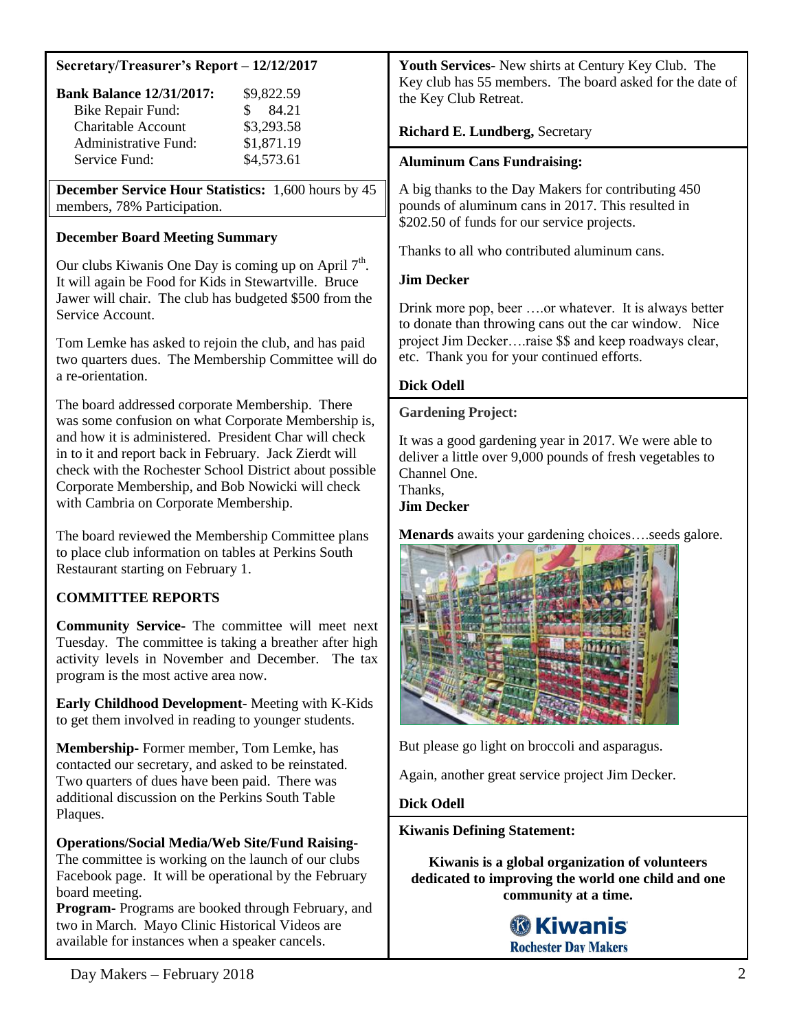#### **Secretary/Treasurer's Report – 12/12/2017**

| <b>Bank Balance 12/31/2017:</b> | \$9,822.59  |
|---------------------------------|-------------|
| <b>Bike Repair Fund:</b>        | 84.21<br>S. |
| <b>Charitable Account</b>       | \$3,293.58  |
| Administrative Fund:            | \$1,871.19  |
| Service Fund:                   | \$4,573.61  |

**December Service Hour Statistics:** 1,600 hours by 45 members, 78% Participation.

# **December Board Meeting Summary**

Our clubs Kiwanis One Day is coming up on April  $7<sup>th</sup>$ . It will again be Food for Kids in Stewartville. Bruce Jawer will chair. The club has budgeted \$500 from the Service Account.

Tom Lemke has asked to rejoin the club, and has paid two quarters dues. The Membership Committee will do a re-orientation.

The board addressed corporate Membership. There was some confusion on what Corporate Membership is, and how it is administered. President Char will check in to it and report back in February. Jack Zierdt will check with the Rochester School District about possible Corporate Membership, and Bob Nowicki will check with Cambria on Corporate Membership.

The board reviewed the Membership Committee plans to place club information on tables at Perkins South Restaurant starting on February 1.

# **COMMITTEE REPORTS**

**Community Service-** The committee will meet next Tuesday. The committee is taking a breather after high activity levels in November and December. The tax program is the most active area now.

**Early Childhood Development-** Meeting with K-Kids to get them involved in reading to younger students.

**Membership-** Former member, Tom Lemke, has contacted our secretary, and asked to be reinstated. Two quarters of dues have been paid. There was additional discussion on the Perkins South Table Plaques.

# **Operations/Social Media/Web Site/Fund Raising-**

The committee is working on the launch of our clubs Facebook page. It will be operational by the February board meeting.

**Program-** Programs are booked through February, and two in March. Mayo Clinic Historical Videos are available for instances when a speaker cancels.

**Youth Services-** New shirts at Century Key Club. The Key club has 55 members. The board asked for the date of the Key Club Retreat.

## **Richard E. Lundberg,** Secretary

## **Aluminum Cans Fundraising:**

A big thanks to the Day Makers for contributing 450 pounds of aluminum cans in 2017. This resulted in \$202.50 of funds for our service projects.

Thanks to all who contributed aluminum cans.

# **Jim Decker**

Drink more pop, beer ….or whatever. It is always better to donate than throwing cans out the car window. Nice project Jim Decker….raise \$\$ and keep roadways clear, etc. Thank you for your continued efforts.

### **Dick Odell**

#### **Gardening Project:**

It was a good gardening year in 2017. We were able to deliver a little over 9,000 pounds of fresh vegetables to Channel One. Thanks,

## **Jim Decker**

**Menards** awaits your gardening choices….seeds galore.



But please go light on broccoli and asparagus.

Again, another great service project Jim Decker.

### **Dick Odell**

**Kiwanis Defining Statement:**

**Kiwanis is a global organization of volunteers dedicated to improving the world one child and one community at a time.**

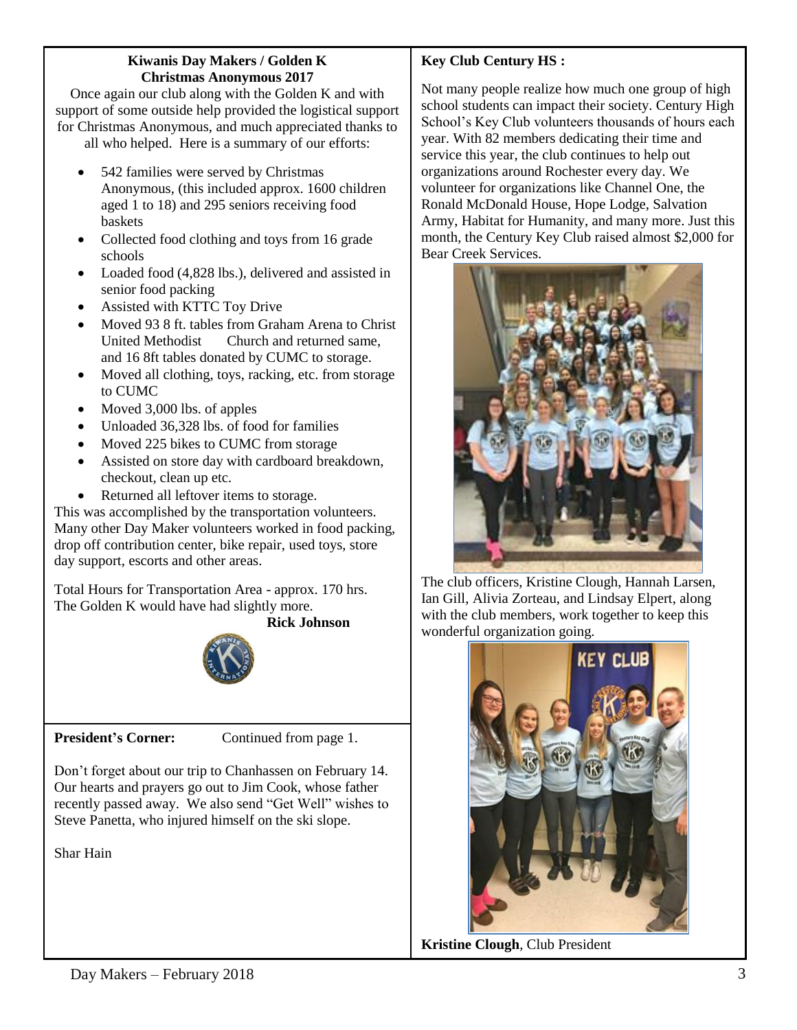#### **Kiwanis Day Makers / Golden K Christmas Anonymous 2017**

Once again our club along with the Golden K and with support of some outside help provided the logistical support for Christmas Anonymous, and much appreciated thanks to all who helped. Here is a summary of our efforts:

- 542 families were served by Christmas Anonymous, (this included approx. 1600 children aged 1 to 18) and 295 seniors receiving food baskets
- Collected food clothing and toys from 16 grade schools
- Loaded food (4,828 lbs.), delivered and assisted in senior food packing
- Assisted with KTTC Toy Drive
- Moved 93 8 ft. tables from Graham Arena to Christ United Methodist Church and returned same, and 16 8ft tables donated by CUMC to storage.
- Moved all clothing, toys, racking, etc. from storage to CUMC
- Moved 3,000 lbs. of apples
- Unloaded 36,328 lbs. of food for families
- Moved 225 bikes to CUMC from storage
- Assisted on store day with cardboard breakdown, checkout, clean up etc.
- Returned all leftover items to storage.

This was accomplished by the transportation volunteers. Many other Day Maker volunteers worked in food packing, drop off contribution center, bike repair, used toys, store day support, escorts and other areas.

Total Hours for Transportation Area - approx. 170 hrs. The Golden K would have had slightly more.

 **Rick Johnson**



**President's Corner:** Continued from page 1.

Don't forget about our trip to Chanhassen on February 14. Our hearts and prayers go out to Jim Cook, whose father recently passed away. We also send "Get Well" wishes to Steve Panetta, who injured himself on the ski slope.

Shar Hain

# **Key Club Century HS :**

Not many people realize how much one group of high school students can impact their society. Century High School's Key Club volunteers thousands of hours each year. With 82 members dedicating their time and service this year, the club continues to help out organizations around Rochester every day. We volunteer for organizations like Channel One, the Ronald McDonald House, Hope Lodge, Salvation Army, Habitat for Humanity, and many more. Just this month, the Century Key Club raised almost \$2,000 for Bear Creek Services.



The club officers, Kristine Clough, Hannah Larsen, Ian Gill, Alivia Zorteau, and Lindsay Elpert, along with the club members, work together to keep this wonderful organization going.



**Kristine Clough**, Club President